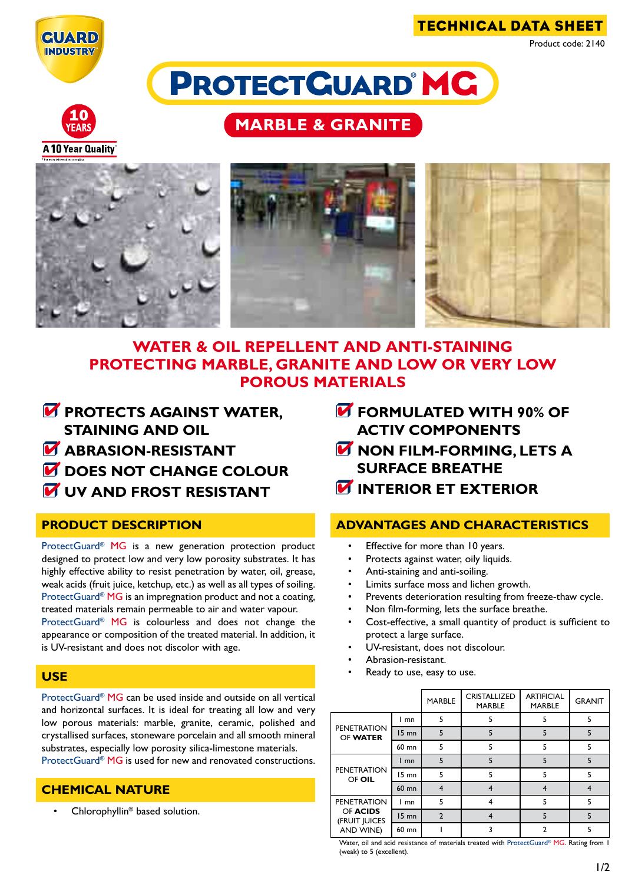

technical data sheet

Product code: 2140

**PROTECTGUARD MC** 



**A 10 Year Quality** 

# **MARBLE & GRANITE**



# **WATER & OIL REPELLENT AND ANTI-STAINING PROTECTING MARBLE, GRANITE AND LOW or very low POROUS MATERIALS**

- **PROTECTS AGAINST WATER, staining and OIL**
- **M** ABRASION-RESISTANT
- $\overline{M}$  **DOES NOT CHANGE COLOUR**
- *M* UV AND FROST RESISTANT

## **product description**

ProtectGuard® MG is a new generation protection product designed to protect low and very low porosity substrates. It has highly effective ability to resist penetration by water, oil, grease, weak acids (fruit juice, ketchup, etc.) as well as all types of soiling. ProtectGuard<sup>®</sup> MG is an impregnation product and not a coating, treated materials remain permeable to air and water vapour. ProtectGuard® MG is colourless and does not change the

appearance or composition of the treated material. In addition, it is UV-resistant and does not discolor with age.

### **use**

ProtectGuard® MG can be used inside and outside on all vertical and horizontal surfaces. It is ideal for treating all low and very low porous materials: marble, granite, ceramic, polished and crystallised surfaces, stoneware porcelain and all smooth mineral substrates, especially low porosity silica-limestone materials. ProtectGuard<sup>®</sup> MG is used for new and renovated constructions.

# **chemical nature**

Chlorophyllin<sup>®</sup> based solution.

- *M* FORMULATED WITH 90% OF **activ components**
- *M* NON FILM-FORMING, LETS A **surface breathe**
- *<u><b>INTERIOR ET EXTERIOR</u>*

## **advantages and characteristics**

- Effective for more than 10 years.
- Protects against water, oily liquids.
- Anti-staining and anti-soiling.
- Limits surface moss and lichen growth.
- Prevents deterioration resulting from freeze-thaw cycle.
- Non film-forming, lets the surface breathe.
- Cost-effective, a small quantity of product is sufficient to protect a large surface.
- UV-resistant, does not discolour.
- Abrasion-resistant.
- Ready to use, easy to use.

|                                                              |         | <b>MARBLE</b>  | <b>CRISTALLIZED</b><br><b>MARBLE</b> | <b>ARTIFICIAL</b><br><b>MARBLE</b> | <b>GRANIT</b> |
|--------------------------------------------------------------|---------|----------------|--------------------------------------|------------------------------------|---------------|
| <b>PENETRATION</b><br>OF WATER                               | mn      | 5              |                                      | 5                                  | 5             |
|                                                              | $15$ mn | 5              |                                      | 5                                  |               |
|                                                              | 60 mn   | 5              |                                      | 5                                  | 5             |
| <b>PENETRATION</b><br>OF OIL                                 | mn      | 5              |                                      | 5                                  | 5             |
|                                                              | 15 mn   | 5              |                                      | 5                                  |               |
|                                                              | 60 mn   | 4              |                                      |                                    |               |
| <b>PENETRATION</b><br>OF ACIDS<br>(FRUIT JUICES<br>AND WINE) | mn      | 5              |                                      | 5                                  |               |
|                                                              | $15$ mn | $\overline{2}$ |                                      | 5                                  | 5             |
|                                                              | 60 mn   |                |                                      |                                    |               |

Water, oil and acid resistance of materials treated with ProtectGuard® MG. Rating from 1 (weak) to 5 (excellent).